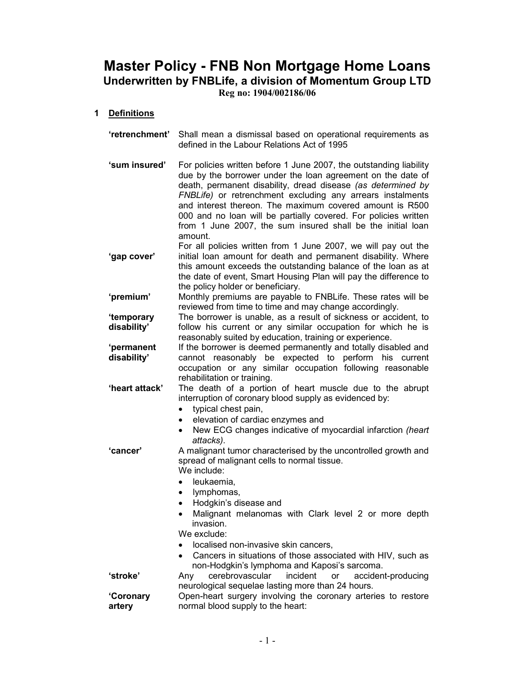# Master Policy - FNB Non Mortgage Home Loans Underwritten by FNBLife, a division of Momentum Group LTD Reg no: 1904/002186/06

## 1 Definitions

- 'retrenchment' Shall mean a dismissal based on operational requirements as defined in the Labour Relations Act of 1995
- 'sum insured' For policies written before 1 June 2007, the outstanding liability due by the borrower under the loan agreement on the date of death, permanent disability, dread disease (as determined by FNBLife) or retrenchment excluding any arrears instalments and interest thereon. The maximum covered amount is R500 000 and no loan will be partially covered. For policies written from 1 June 2007, the sum insured shall be the initial loan amount.

'gap cover' For all policies written from 1 June 2007, we will pay out the initial loan amount for death and permanent disability. Where this amount exceeds the outstanding balance of the loan as at the date of event, Smart Housing Plan will pay the difference to the policy holder or beneficiary.

'premium' Monthly premiums are payable to FNBLife. These rates will be reviewed from time to time and may change accordingly.

'temporary disability' The borrower is unable, as a result of sickness or accident, to follow his current or any similar occupation for which he is reasonably suited by education, training or experience.

'permanent disability' If the borrower is deemed permanently and totally disabled and cannot reasonably be expected to perform his current occupation or any similar occupation following reasonable rehabilitation or training.

'heart attack' The death of a portion of heart muscle due to the abrupt interruption of coronary blood supply as evidenced by:

- typical chest pain,
- elevation of cardiac enzymes and
- New ECG changes indicative of myocardial infarction (heart) attacks).

'cancer' A malignant tumor characterised by the uncontrolled growth and spread of malignant cells to normal tissue. We include:

- leukaemia,
- lymphomas,
- Hodgkin's disease and
- Malignant melanomas with Clark level 2 or more depth invasion.
- We exclude:
- localised non-invasive skin cancers,
- Cancers in situations of those associated with HIV, such as non-Hodgkin's lymphoma and Kaposi's sarcoma.
- 'stroke' Any cerebrovascular incident or accident-producing

#### 'Coronary artery

neurological sequelae lasting more than 24 hours. Open-heart surgery involving the coronary arteries to restore normal blood supply to the heart: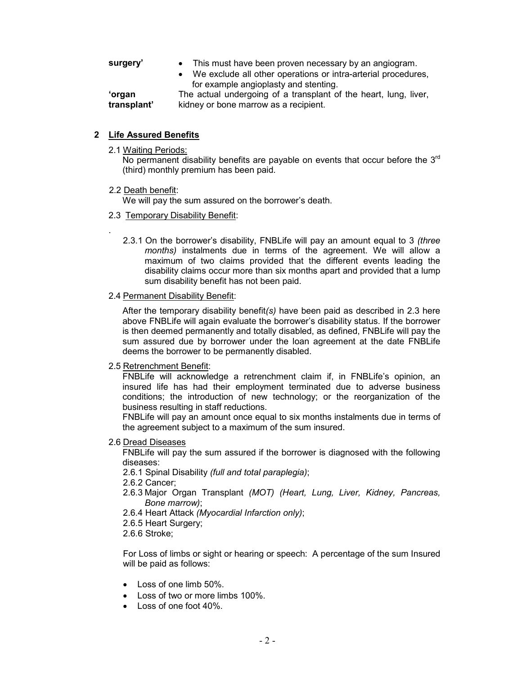- surgery' This must have been proven necessary by an angiogram.
	- We exclude all other operations or intra-arterial procedures, for example angioplasty and stenting. The actual undergoing of a transplant of the heart, lung, liver,

'organ transplant'

## 2 Life Assured Benefits

2.1 Waiting Periods:

No permanent disability benefits are payable on events that occur before the  $3<sup>rd</sup>$ (third) monthly premium has been paid.

kidney or bone marrow as a recipient.

#### 2.2 Death benefit:

.

We will pay the sum assured on the borrower's death.

#### 2.3 Temporary Disability Benefit:

2.3.1 On the borrower's disability. FNBLife will pay an amount equal to 3 *(three* months) instalments due in terms of the agreement. We will allow a maximum of two claims provided that the different events leading the disability claims occur more than six months apart and provided that a lump sum disability benefit has not been paid.

#### 2.4 Permanent Disability Benefit:

After the temporary disability benefit(s) have been paid as described in 2.3 here above FNBLife will again evaluate the borrower's disability status. If the borrower is then deemed permanently and totally disabled, as defined, FNBLife will pay the sum assured due by borrower under the loan agreement at the date FNBLife deems the borrower to be permanently disabled.

#### 2.5 Retrenchment Benefit:

FNBLife will acknowledge a retrenchment claim if, in FNBLife's opinion, an insured life has had their employment terminated due to adverse business conditions; the introduction of new technology; or the reorganization of the business resulting in staff reductions.

FNBLife will pay an amount once equal to six months instalments due in terms of the agreement subject to a maximum of the sum insured.

#### 2.6 Dread Diseases

FNBLife will pay the sum assured if the borrower is diagnosed with the following diseases:

2.6.1 Spinal Disability (full and total paraplegia);

- 2.6.2 Cancer;
- 2.6.3 Major Organ Transplant (MOT) (Heart, Lung, Liver, Kidney, Pancreas, Bone marrow);
- 2.6.4 Heart Attack (Myocardial Infarction only);
- 2.6.5 Heart Surgery;
- 2.6.6 Stroke;

For Loss of limbs or sight or hearing or speech: A percentage of the sum Insured will be paid as follows:

- Loss of one limb 50%.
- Loss of two or more limbs 100%.
- Loss of one foot 40%.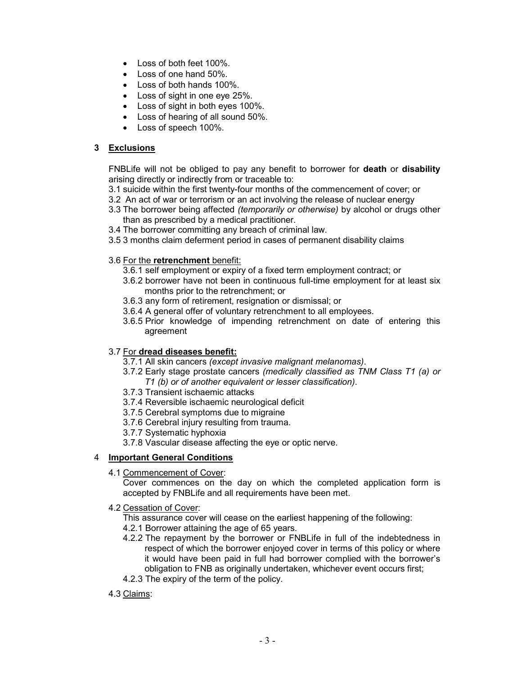- Loss of both feet 100%.
- Loss of one hand 50%.
- Loss of both hands 100%.
- Loss of sight in one eye 25%.
- Loss of sight in both eyes 100%.
- Loss of hearing of all sound 50%.
- Loss of speech 100%.

## 3 Exclusions

FNBLife will not be obliged to pay any benefit to borrower for death or disability arising directly or indirectly from or traceable to:

- 3.1 suicide within the first twenty-four months of the commencement of cover; or
- 3.2 An act of war or terrorism or an act involving the release of nuclear energy
- 3.3 The borrower being affected (temporarily or otherwise) by alcohol or drugs other than as prescribed by a medical practitioner.
- 3.4 The borrower committing any breach of criminal law.
- 3.5 3 months claim deferment period in cases of permanent disability claims

# 3.6 For the retrenchment benefit:

- 3.6.1 self employment or expiry of a fixed term employment contract; or
- 3.6.2 borrower have not been in continuous full-time employment for at least six months prior to the retrenchment; or
- 3.6.3 any form of retirement, resignation or dismissal; or
- 3.6.4 A general offer of voluntary retrenchment to all employees.
- 3.6.5 Prior knowledge of impending retrenchment on date of entering this agreement

## 3.7 For dread diseases benefit:

- 3.7.1 All skin cancers (except invasive malignant melanomas).
- 3.7.2 Early stage prostate cancers (medically classified as TNM Class T1 (a) or T1 (b) or of another equivalent or lesser classification).
- 3.7.3 Transient ischaemic attacks
- 3.7.4 Reversible ischaemic neurological deficit
- 3.7.5 Cerebral symptoms due to migraine
- 3.7.6 Cerebral injury resulting from trauma.
- 3.7.7 Systematic hyphoxia
- 3.7.8 Vascular disease affecting the eye or optic nerve.

## 4 Important General Conditions

4.1 Commencement of Cover:

Cover commences on the day on which the completed application form is accepted by FNBLife and all requirements have been met.

- 4.2 Cessation of Cover:
	- This assurance cover will cease on the earliest happening of the following:
	- 4.2.1 Borrower attaining the age of 65 years.
	- 4.2.2 The repayment by the borrower or FNBLife in full of the indebtedness in respect of which the borrower enjoyed cover in terms of this policy or where it would have been paid in full had borrower complied with the borrower's obligation to FNB as originally undertaken, whichever event occurs first;
	- 4.2.3 The expiry of the term of the policy.
- 4.3 Claims: